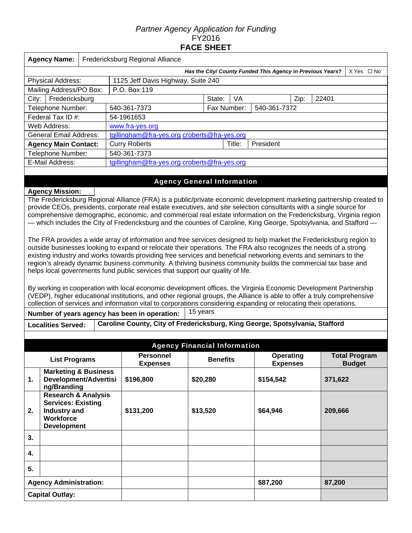# *Partner Agency Application for Funding*  FY2016 **FACE SHEET**

| <b>Agency Name:</b>                                                                                                                                                                                                                                                                                                                                                                                                                                                                                                                                            |  | Fredericksburg Regional Alliance             |        |             |                                                            |      |       |            |  |
|----------------------------------------------------------------------------------------------------------------------------------------------------------------------------------------------------------------------------------------------------------------------------------------------------------------------------------------------------------------------------------------------------------------------------------------------------------------------------------------------------------------------------------------------------------------|--|----------------------------------------------|--------|-------------|------------------------------------------------------------|------|-------|------------|--|
|                                                                                                                                                                                                                                                                                                                                                                                                                                                                                                                                                                |  |                                              |        |             | Has the City/ County Funded This Agency in Previous Years? |      |       | X Yes □ No |  |
| <b>Physical Address:</b>                                                                                                                                                                                                                                                                                                                                                                                                                                                                                                                                       |  | 1125 Jeff Davis Highway, Suite 240           |        |             |                                                            |      |       |            |  |
| Mailing Address/PO Box:                                                                                                                                                                                                                                                                                                                                                                                                                                                                                                                                        |  | P.O. Box 119                                 |        |             |                                                            |      |       |            |  |
| Fredericksburg<br>City:                                                                                                                                                                                                                                                                                                                                                                                                                                                                                                                                        |  |                                              | State: | VA          |                                                            | Zip: | 22401 |            |  |
| Telephone Number:                                                                                                                                                                                                                                                                                                                                                                                                                                                                                                                                              |  | 540-361-7373                                 |        | Fax Number: | 540-361-7372                                               |      |       |            |  |
| Federal Tax ID #:                                                                                                                                                                                                                                                                                                                                                                                                                                                                                                                                              |  | 54-1961653                                   |        |             |                                                            |      |       |            |  |
| Web Address:                                                                                                                                                                                                                                                                                                                                                                                                                                                                                                                                                   |  | www.fra-yes.org                              |        |             |                                                            |      |       |            |  |
| <b>General Email Address:</b>                                                                                                                                                                                                                                                                                                                                                                                                                                                                                                                                  |  | tgillingham@fra-yes.org croberts@fra-yes.org |        |             |                                                            |      |       |            |  |
| <b>Agency Main Contact:</b>                                                                                                                                                                                                                                                                                                                                                                                                                                                                                                                                    |  | <b>Curry Roberts</b>                         |        | Title:      | President                                                  |      |       |            |  |
| Telephone Number:                                                                                                                                                                                                                                                                                                                                                                                                                                                                                                                                              |  | 540-361-7373                                 |        |             |                                                            |      |       |            |  |
| E-Mail Address:                                                                                                                                                                                                                                                                                                                                                                                                                                                                                                                                                |  | tgillingham@fra-yes.org croberts@fra-yes.org |        |             |                                                            |      |       |            |  |
|                                                                                                                                                                                                                                                                                                                                                                                                                                                                                                                                                                |  |                                              |        |             |                                                            |      |       |            |  |
|                                                                                                                                                                                                                                                                                                                                                                                                                                                                                                                                                                |  | <b>Agency General Information</b>            |        |             |                                                            |      |       |            |  |
| <b>Agency Mission:</b>                                                                                                                                                                                                                                                                                                                                                                                                                                                                                                                                         |  |                                              |        |             |                                                            |      |       |            |  |
| The Fredericksburg Regional Alliance (FRA) is a public/private economic development marketing partnership created to<br>provide CEOs, presidents, corporate real estate executives, and site selection consultants with a single source for<br>comprehensive demographic, economic, and commercial real estate information on the Fredericksburg, Virginia region<br>— which includes the City of Fredericksburg and the counties of Caroline, King George, Spotsylvania, and Stafford —                                                                       |  |                                              |        |             |                                                            |      |       |            |  |
| The FRA provides a wide array of information and free services designed to help market the Fredericksburg region to<br>outside businesses looking to expand or relocate their operations. The FRA also recognizes the needs of a strong<br>existing industry and works towards providing free services and beneficial networking events and seminars to the<br>region's already dynamic business community. A thriving business community builds the commercial tax base and<br>helps local governments fund public services that support our quality of life. |  |                                              |        |             |                                                            |      |       |            |  |

By working in cooperation with local economic development offices, the Virginia Economic Development Partnership (VEDP), higher educational institutions, and other regional groups, the Alliance is able to offer a truly comprehensive collection of services and information vital to corporations considering expanding or relocating their operations.

**Number of years agency has been in operation:** 15 years

**Localities Served: Caroline County, City of Fredericksburg, King George, Spotsylvania, Stafford** 

| <b>Agency Financial Information</b> |                                                                                                                       |                                     |                 |                                     |                                       |  |  |
|-------------------------------------|-----------------------------------------------------------------------------------------------------------------------|-------------------------------------|-----------------|-------------------------------------|---------------------------------------|--|--|
| <b>List Programs</b>                |                                                                                                                       | <b>Personnel</b><br><b>Expenses</b> | <b>Benefits</b> | <b>Operating</b><br><b>Expenses</b> | <b>Total Program</b><br><b>Budget</b> |  |  |
| 1.                                  | <b>Marketing &amp; Business</b><br>Development/Advertisi<br>ng/Branding                                               | \$196,800                           | \$20,280        | \$154,542                           | 371,622                               |  |  |
| 2.                                  | <b>Research &amp; Analysis</b><br><b>Services: Existing</b><br>Industry and<br><b>Workforce</b><br><b>Development</b> | \$131,200                           | \$13,520        | \$64,946                            | 209,666                               |  |  |
| 3.                                  |                                                                                                                       |                                     |                 |                                     |                                       |  |  |
| 4.                                  |                                                                                                                       |                                     |                 |                                     |                                       |  |  |
| 5.                                  |                                                                                                                       |                                     |                 |                                     |                                       |  |  |
| <b>Agency Administration:</b>       |                                                                                                                       |                                     |                 | \$87,200                            | 87,200                                |  |  |
|                                     | <b>Capital Outlay:</b>                                                                                                |                                     |                 |                                     |                                       |  |  |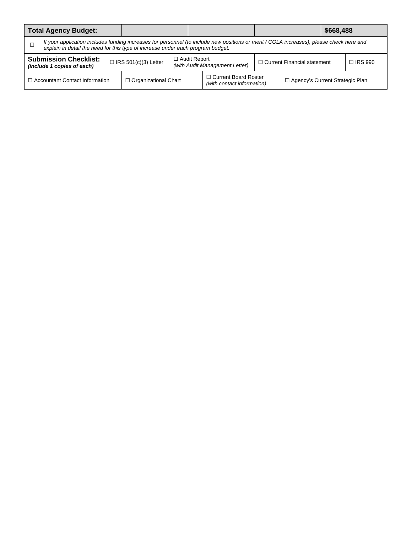| <b>Total Agency Budget:</b>                                                                                                                                                                                                           |  |                             |                     | \$668,488                                                       |  |                                   |                |  |
|---------------------------------------------------------------------------------------------------------------------------------------------------------------------------------------------------------------------------------------|--|-----------------------------|---------------------|-----------------------------------------------------------------|--|-----------------------------------|----------------|--|
| If your application includes funding increases for personnel (to include new positions or merit / COLA increases), please check here and<br>$\Box$<br>explain in detail the need for this type of increase under each program budget. |  |                             |                     |                                                                 |  |                                   |                |  |
| <b>Submission Checklist:</b><br>(include 1 copies of each)                                                                                                                                                                            |  | $\Box$ IRS 501(c)(3) Letter | $\Box$ Audit Report | □ Current Financial statement<br>(with Audit Management Letter) |  |                                   | $\Box$ IRS 990 |  |
| $\Box$ Accountant Contact Information                                                                                                                                                                                                 |  | $\Box$ Organizational Chart |                     | □ Current Board Roster<br>(with contact information)            |  | □ Agency's Current Strategic Plan |                |  |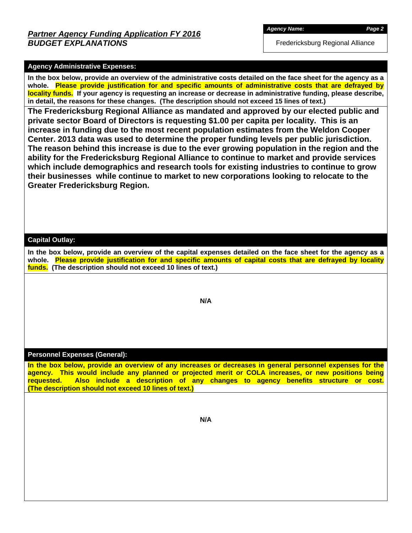Fredericksburg Regional Alliance

### **Agency Administrative Expenses:**

**In the box below, provide an overview of the administrative costs detailed on the face sheet for the agency as a whole. Please provide justification for and specific amounts of administrative costs that are defrayed by locality funds. If your agency is requesting an increase or decrease in administrative funding, please describe, in detail, the reasons for these changes. (The description should not exceed 15 lines of text.)** 

**The Fredericksburg Regional Alliance as mandated and approved by our elected public and private sector Board of Directors is requesting \$1.00 per capita per locality. This is an increase in funding due to the most recent population estimates from the Weldon Cooper Center. 2013 data was used to determine the proper funding levels per public jurisdiction. The reason behind this increase is due to the ever growing population in the region and the ability for the Fredericksburg Regional Alliance to continue to market and provide services which include demographics and research tools for existing industries to continue to grow their businesses while continue to market to new corporations looking to relocate to the Greater Fredericksburg Region.** 

### **Capital Outlay:**

**In the box below, provide an overview of the capital expenses detailed on the face sheet for the agency as a whole. Please provide justification for and specific amounts of capital costs that are defrayed by locality funds. (The description should not exceed 10 lines of text.)** 

**N/A** 

#### **Personnel Expenses (General):**

**In the box below, provide an overview of any increases or decreases in general personnel expenses for the agency. This would include any planned or projected merit or COLA increases, or new positions being requested. Also include a description of any changes to agency benefits structure or cost. (The description should not exceed 10 lines of text.)** 

**N/A**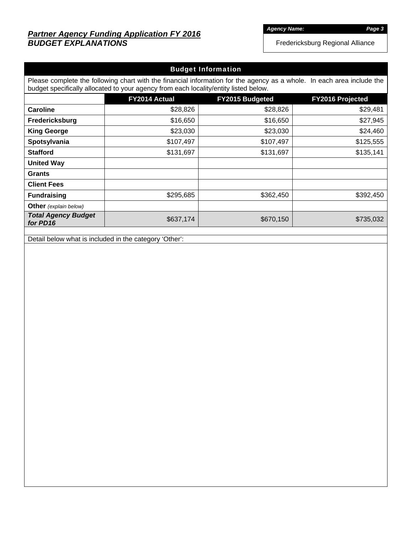# *Partner Agency Funding Application FY 2016 BUDGET EXPLANATIONS*

*Agency Name: Page 3* 

Fredericksburg Regional Alliance

| <b>Budget Information</b>              |                                                                                                                                                                                                                |                        |                         |  |  |  |
|----------------------------------------|----------------------------------------------------------------------------------------------------------------------------------------------------------------------------------------------------------------|------------------------|-------------------------|--|--|--|
|                                        | Please complete the following chart with the financial information for the agency as a whole. In each area include the<br>budget specifically allocated to your agency from each locality/entity listed below. |                        |                         |  |  |  |
|                                        | FY2014 Actual                                                                                                                                                                                                  | <b>FY2015 Budgeted</b> | <b>FY2016 Projected</b> |  |  |  |
| <b>Caroline</b>                        | \$28,826                                                                                                                                                                                                       | \$28,826               | \$29,481                |  |  |  |
| Fredericksburg                         | \$16,650                                                                                                                                                                                                       | \$16,650               | \$27,945                |  |  |  |
| <b>King George</b>                     | \$23,030                                                                                                                                                                                                       | \$23,030               | \$24,460                |  |  |  |
| Spotsylvania                           | \$107,497                                                                                                                                                                                                      | \$107,497              | \$125,555               |  |  |  |
| <b>Stafford</b>                        | \$131,697                                                                                                                                                                                                      | \$131,697              | \$135,141               |  |  |  |
| <b>United Way</b>                      |                                                                                                                                                                                                                |                        |                         |  |  |  |
| <b>Grants</b>                          |                                                                                                                                                                                                                |                        |                         |  |  |  |
| <b>Client Fees</b>                     |                                                                                                                                                                                                                |                        |                         |  |  |  |
| <b>Fundraising</b>                     | \$295,685                                                                                                                                                                                                      | \$362,450              | \$392,450               |  |  |  |
| <b>Other</b> (explain below)           |                                                                                                                                                                                                                |                        |                         |  |  |  |
| <b>Total Agency Budget</b><br>for PD16 | \$637,174                                                                                                                                                                                                      | \$670,150              | \$735,032               |  |  |  |

Detail below what is included in the category 'Other':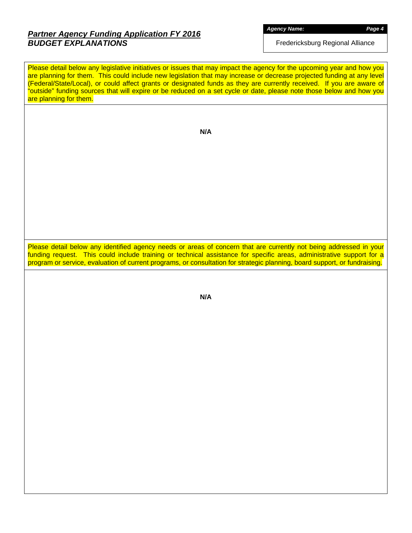# *Partner Agency Funding Application FY 2016 BUDGET EXPLANATIONS*

*Agency Name: Page 4* 

Fredericksburg Regional Alliance

|                        | Please detail below any legislative initiatives or issues that may impact the agency for the upcoming year and how you<br>are planning for them. This could include new legislation that may increase or decrease projected funding at any level<br>(Federal/State/Local), or could affect grants or designated funds as they are currently received. If you are aware of<br>"outside" funding sources that will expire or be reduced on a set cycle or date, please note those below and how you |  |
|------------------------|---------------------------------------------------------------------------------------------------------------------------------------------------------------------------------------------------------------------------------------------------------------------------------------------------------------------------------------------------------------------------------------------------------------------------------------------------------------------------------------------------|--|
| are planning for them. |                                                                                                                                                                                                                                                                                                                                                                                                                                                                                                   |  |
|                        |                                                                                                                                                                                                                                                                                                                                                                                                                                                                                                   |  |
|                        | N/A                                                                                                                                                                                                                                                                                                                                                                                                                                                                                               |  |
|                        |                                                                                                                                                                                                                                                                                                                                                                                                                                                                                                   |  |
|                        |                                                                                                                                                                                                                                                                                                                                                                                                                                                                                                   |  |
|                        |                                                                                                                                                                                                                                                                                                                                                                                                                                                                                                   |  |
|                        |                                                                                                                                                                                                                                                                                                                                                                                                                                                                                                   |  |
|                        |                                                                                                                                                                                                                                                                                                                                                                                                                                                                                                   |  |
|                        |                                                                                                                                                                                                                                                                                                                                                                                                                                                                                                   |  |
|                        |                                                                                                                                                                                                                                                                                                                                                                                                                                                                                                   |  |
|                        | Please detail below any identified agency needs or areas of concern that are currently not being addressed in your<br>funding request. This could include training or technical assistance for specific areas, administrative support for a<br>program or service, evaluation of current programs, or consultation for strategic planning, board support, or fundraising.                                                                                                                         |  |
|                        |                                                                                                                                                                                                                                                                                                                                                                                                                                                                                                   |  |
|                        | N/A                                                                                                                                                                                                                                                                                                                                                                                                                                                                                               |  |
|                        |                                                                                                                                                                                                                                                                                                                                                                                                                                                                                                   |  |
|                        |                                                                                                                                                                                                                                                                                                                                                                                                                                                                                                   |  |
|                        |                                                                                                                                                                                                                                                                                                                                                                                                                                                                                                   |  |
|                        |                                                                                                                                                                                                                                                                                                                                                                                                                                                                                                   |  |
|                        |                                                                                                                                                                                                                                                                                                                                                                                                                                                                                                   |  |
|                        |                                                                                                                                                                                                                                                                                                                                                                                                                                                                                                   |  |
|                        |                                                                                                                                                                                                                                                                                                                                                                                                                                                                                                   |  |
|                        |                                                                                                                                                                                                                                                                                                                                                                                                                                                                                                   |  |
|                        |                                                                                                                                                                                                                                                                                                                                                                                                                                                                                                   |  |
|                        |                                                                                                                                                                                                                                                                                                                                                                                                                                                                                                   |  |
|                        |                                                                                                                                                                                                                                                                                                                                                                                                                                                                                                   |  |
|                        |                                                                                                                                                                                                                                                                                                                                                                                                                                                                                                   |  |
|                        |                                                                                                                                                                                                                                                                                                                                                                                                                                                                                                   |  |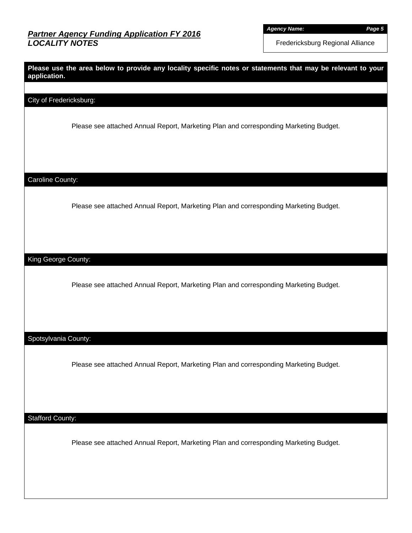*Agency Name: Page 5* 

Fredericksburg Regional Alliance

| application.            | Please use the area below to provide any locality specific notes or statements that may be relevant to your |
|-------------------------|-------------------------------------------------------------------------------------------------------------|
| City of Fredericksburg: |                                                                                                             |
|                         |                                                                                                             |
|                         | Please see attached Annual Report, Marketing Plan and corresponding Marketing Budget.                       |
|                         |                                                                                                             |
|                         |                                                                                                             |
| Caroline County:        |                                                                                                             |
|                         |                                                                                                             |
|                         | Please see attached Annual Report, Marketing Plan and corresponding Marketing Budget.                       |
|                         |                                                                                                             |
|                         |                                                                                                             |
| King George County:     |                                                                                                             |
|                         | Please see attached Annual Report, Marketing Plan and corresponding Marketing Budget.                       |
|                         |                                                                                                             |
|                         |                                                                                                             |
| Spotsylvania County:    |                                                                                                             |
|                         |                                                                                                             |
|                         | Please see attached Annual Report, Marketing Plan and corresponding Marketing Budget.                       |
|                         |                                                                                                             |
|                         |                                                                                                             |
| <b>Stafford County:</b> |                                                                                                             |
|                         | Please see attached Annual Report, Marketing Plan and corresponding Marketing Budget.                       |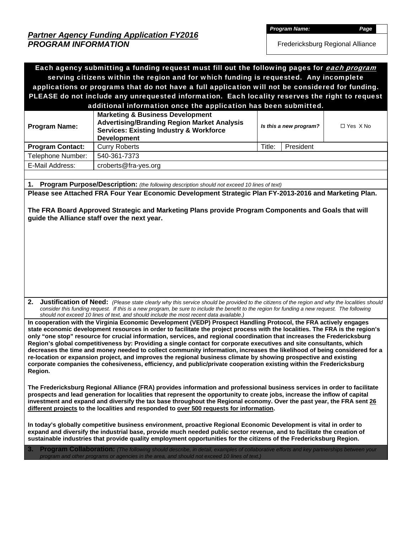*Partner Agency Funding Application FY2016 PROGRAM INFORMATION* 

*Program Name: Page* 

Fredericksburg Regional Alliance

| Each agency submitting a funding request must fill out the following pages for each program<br>serving citizens within the region and for which funding is requested. Any incomplete                                                                                                                                                                                                                                                                                                                                                                                                                                                                                                                                                                                                                                                                                                  |                                                                                                                                                                                                                                                                                                                                                                                              |        |                        |                   |  |  |
|---------------------------------------------------------------------------------------------------------------------------------------------------------------------------------------------------------------------------------------------------------------------------------------------------------------------------------------------------------------------------------------------------------------------------------------------------------------------------------------------------------------------------------------------------------------------------------------------------------------------------------------------------------------------------------------------------------------------------------------------------------------------------------------------------------------------------------------------------------------------------------------|----------------------------------------------------------------------------------------------------------------------------------------------------------------------------------------------------------------------------------------------------------------------------------------------------------------------------------------------------------------------------------------------|--------|------------------------|-------------------|--|--|
| applications or programs that do not have a full application will not be considered for funding.                                                                                                                                                                                                                                                                                                                                                                                                                                                                                                                                                                                                                                                                                                                                                                                      |                                                                                                                                                                                                                                                                                                                                                                                              |        |                        |                   |  |  |
| PLEASE do not include any unrequested information. Each locality reserves the right to request                                                                                                                                                                                                                                                                                                                                                                                                                                                                                                                                                                                                                                                                                                                                                                                        |                                                                                                                                                                                                                                                                                                                                                                                              |        |                        |                   |  |  |
|                                                                                                                                                                                                                                                                                                                                                                                                                                                                                                                                                                                                                                                                                                                                                                                                                                                                                       | additional information once the application has been submitted.                                                                                                                                                                                                                                                                                                                              |        |                        |                   |  |  |
| <b>Program Name:</b>                                                                                                                                                                                                                                                                                                                                                                                                                                                                                                                                                                                                                                                                                                                                                                                                                                                                  | <b>Marketing &amp; Business Development</b><br><b>Advertising/Branding Region Market Analysis</b><br><b>Services: Existing Industry &amp; Workforce</b><br><b>Development</b>                                                                                                                                                                                                                |        | Is this a new program? | $\Box$ Yes $X$ No |  |  |
| <b>Program Contact:</b>                                                                                                                                                                                                                                                                                                                                                                                                                                                                                                                                                                                                                                                                                                                                                                                                                                                               | <b>Curry Roberts</b>                                                                                                                                                                                                                                                                                                                                                                         | Title: | President              |                   |  |  |
| Telephone Number:                                                                                                                                                                                                                                                                                                                                                                                                                                                                                                                                                                                                                                                                                                                                                                                                                                                                     | 540-361-7373                                                                                                                                                                                                                                                                                                                                                                                 |        |                        |                   |  |  |
| E-Mail Address:                                                                                                                                                                                                                                                                                                                                                                                                                                                                                                                                                                                                                                                                                                                                                                                                                                                                       | croberts@fra-yes.org                                                                                                                                                                                                                                                                                                                                                                         |        |                        |                   |  |  |
|                                                                                                                                                                                                                                                                                                                                                                                                                                                                                                                                                                                                                                                                                                                                                                                                                                                                                       |                                                                                                                                                                                                                                                                                                                                                                                              |        |                        |                   |  |  |
|                                                                                                                                                                                                                                                                                                                                                                                                                                                                                                                                                                                                                                                                                                                                                                                                                                                                                       | 1. Program Purpose/Description: (the following description should not exceed 10 lines of text)                                                                                                                                                                                                                                                                                               |        |                        |                   |  |  |
|                                                                                                                                                                                                                                                                                                                                                                                                                                                                                                                                                                                                                                                                                                                                                                                                                                                                                       | Please see Attached FRA Four Year Economic Development Strategic Plan FY-2013-2016 and Marketing Plan.                                                                                                                                                                                                                                                                                       |        |                        |                   |  |  |
|                                                                                                                                                                                                                                                                                                                                                                                                                                                                                                                                                                                                                                                                                                                                                                                                                                                                                       | The FRA Board Approved Strategic and Marketing Plans provide Program Components and Goals that will<br>guide the Alliance staff over the next year.                                                                                                                                                                                                                                          |        |                        |                   |  |  |
|                                                                                                                                                                                                                                                                                                                                                                                                                                                                                                                                                                                                                                                                                                                                                                                                                                                                                       | 2. Justification of Need: (Please state clearly why this service should be provided to the citizens of the region and why the localities should<br>consider this funding request. If this is a new program, be sure to include the benefit to the region for funding a new request. The following<br>should not exceed 10 lines of text, and should include the most recent data available.) |        |                        |                   |  |  |
| In cooperation with the Virginia Economic Development (VEDP) Prospect Handling Protocol, the FRA actively engages<br>state economic development resources in order to facilitate the project process with the localities. The FRA is the region's<br>only "one stop" resource for crucial information, services, and regional coordination that increases the Fredericksburg<br>Region's global competitiveness by: Providing a single contact for corporate executives and site consultants, which<br>decreases the time and money needed to collect community information, increases the likelihood of being considered for a<br>re-location or expansion project, and improves the regional business climate by showing prospective and existing<br>corporate companies the cohesiveness, efficiency, and public/private cooperation existing within the Fredericksburg<br>Region. |                                                                                                                                                                                                                                                                                                                                                                                              |        |                        |                   |  |  |
| The Fredericksburg Regional Alliance (FRA) provides information and professional business services in order to facilitate<br>prospects and lead generation for localities that represent the opportunity to create jobs, increase the inflow of capital<br>investment and expand and diversify the tax base throughout the Regional economy. Over the past year, the FRA sent 26<br>different projects to the localities and responded to over 500 requests for information.                                                                                                                                                                                                                                                                                                                                                                                                          |                                                                                                                                                                                                                                                                                                                                                                                              |        |                        |                   |  |  |
| In today's globally competitive business environment, proactive Regional Economic Development is vital in order to<br>expand and diversify the industrial base, provide much needed public sector revenue, and to facilitate the creation of<br>sustainable industries that provide quality employment opportunities for the citizens of the Fredericksburg Region.                                                                                                                                                                                                                                                                                                                                                                                                                                                                                                                   |                                                                                                                                                                                                                                                                                                                                                                                              |        |                        |                   |  |  |
| 3.<br><b>Program Collaboration:</b> (The following should describe, in detail, examples of collaborative efforts and key partnerships between your<br>program and other programs or agencies in the area, and should not exceed 10 lines of text.)                                                                                                                                                                                                                                                                                                                                                                                                                                                                                                                                                                                                                                    |                                                                                                                                                                                                                                                                                                                                                                                              |        |                        |                   |  |  |